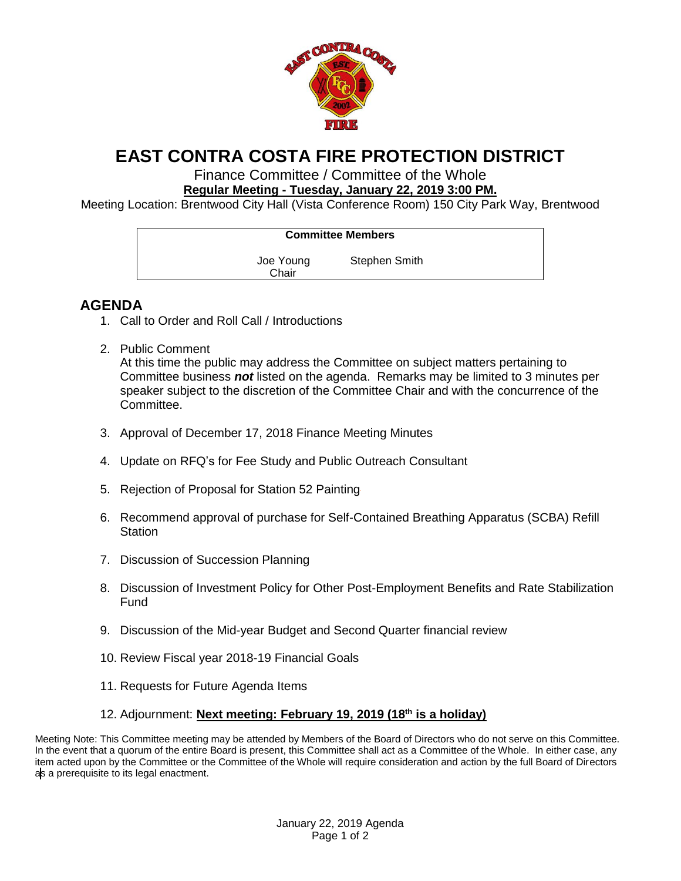

## **EAST CONTRA COSTA FIRE PROTECTION DISTRICT**

Finance Committee / Committee of the Whole **Regular Meeting - Tuesday, January 22, 2019 3:00 PM.**

Meeting Location: Brentwood City Hall (Vista Conference Room) 150 City Park Way, Brentwood

| <b>Committee Members</b> |                    |               |
|--------------------------|--------------------|---------------|
|                          | Joe Young<br>Chair | Stephen Smith |

## **AGENDA**

- 1. Call to Order and Roll Call / Introductions
- 2. Public Comment At this time the public may address the Committee on subject matters pertaining to Committee business *not* listed on the agenda. Remarks may be limited to 3 minutes per speaker subject to the discretion of the Committee Chair and with the concurrence of the Committee.
- 3. Approval of December 17, 2018 Finance Meeting Minutes
- 4. Update on RFQ's for Fee Study and Public Outreach Consultant
- 5. Rejection of Proposal for Station 52 Painting
- 6. Recommend approval of purchase for Self-Contained Breathing Apparatus (SCBA) Refill **Station**
- 7. Discussion of Succession Planning
- 8. Discussion of Investment Policy for Other Post-Employment Benefits and Rate Stabilization Fund
- 9. Discussion of the Mid-year Budget and Second Quarter financial review
- 10. Review Fiscal year 2018-19 Financial Goals
- 11. Requests for Future Agenda Items
- 12. Adjournment: **Next meeting: February 19, 2019 (18th is a holiday)**

Meeting Note: This Committee meeting may be attended by Members of the Board of Directors who do not serve on this Committee. In the event that a quorum of the entire Board is present, this Committee shall act as a Committee of the Whole. In either case, any item acted upon by the Committee or the Committee of the Whole will require consideration and action by the full Board of Directors as a prerequisite to its legal enactment.

> January 22, 2019 Agenda Page 1 of 2